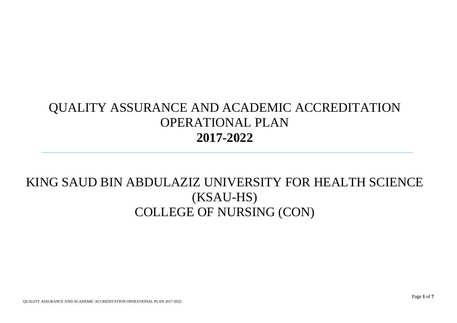## QUALITY ASSURANCE AND ACADEMIC ACCREDITATION OPERATIONAL PLAN **2017-2022**

## KING SAUD BIN ABDULAZIZ UNIVERSITY FOR HEALTH SCIENCE (KSAU-HS) COLLEGE OF NURSING (CON)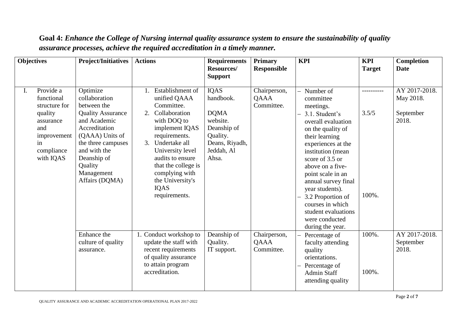| <b>Objectives</b>                                                                                                             | <b>Project/Initiatives</b>                                                                                                                                                                                               | <b>Actions</b>                                                                                                                                                                                                                                                                                 | <b>Requirements</b><br>Resources/<br><b>Support</b>                                                                     | <b>Primary</b><br><b>Responsible</b> | <b>KPI</b>                                                                                                                                                                                                                                                                                                                                                                | <b>KPI</b><br><b>Target</b>  | Completion<br><b>Date</b>                        |
|-------------------------------------------------------------------------------------------------------------------------------|--------------------------------------------------------------------------------------------------------------------------------------------------------------------------------------------------------------------------|------------------------------------------------------------------------------------------------------------------------------------------------------------------------------------------------------------------------------------------------------------------------------------------------|-------------------------------------------------------------------------------------------------------------------------|--------------------------------------|---------------------------------------------------------------------------------------------------------------------------------------------------------------------------------------------------------------------------------------------------------------------------------------------------------------------------------------------------------------------------|------------------------------|--------------------------------------------------|
| Provide a<br>I.<br>functional<br>structure for<br>quality<br>assurance<br>and<br>improvement<br>in<br>compliance<br>with IQAS | Optimize<br>collaboration<br>between the<br><b>Quality Assurance</b><br>and Academic<br>Accreditation<br>(QAAA) Units of<br>the three campuses<br>and with the<br>Deanship of<br>Quality<br>Management<br>Affairs (DQMA) | Establishment of<br>unified QAAA<br>Committee.<br>2.<br>Collaboration<br>with DOQ to<br>implement IQAS<br>requirements.<br>$\mathcal{E}$<br>Undertake all<br>University level<br>audits to ensure<br>that the college is<br>complying with<br>the University's<br><b>IQAS</b><br>requirements. | <b>IQAS</b><br>handbook.<br><b>DQMA</b><br>website.<br>Deanship of<br>Quality.<br>Deans, Riyadh,<br>Jeddah, Al<br>Ahsa. | Chairperson,<br>QAAA<br>Committee.   | Number of<br>committee<br>meetings.<br>3.1. Student's<br>overall evaluation<br>on the quality of<br>their learning<br>experiences at the<br>institution (mean<br>score of 3.5 or<br>above on a five-<br>point scale in an<br>annual survey final<br>year students).<br>3.2 Proportion of<br>courses in which<br>student evaluations<br>were conducted<br>during the year. | ----------<br>3.5/5<br>100%. | AY 2017-2018.<br>May 2018.<br>September<br>2018. |
|                                                                                                                               | Enhance the<br>culture of quality<br>assurance.                                                                                                                                                                          | 1. Conduct workshop to<br>update the staff with<br>recent requirements<br>of quality assurance<br>to attain program<br>accreditation.                                                                                                                                                          | Deanship of<br>Quality.<br>IT support.                                                                                  | Chairperson,<br>QAAA<br>Committee.   | Percentage of<br>faculty attending<br>quality<br>orientations.<br>Percentage of<br><b>Admin Staff</b><br>attending quality                                                                                                                                                                                                                                                | 100%.<br>100%.               | AY 2017-2018.<br>September<br>2018.              |

**Goal 4:** *Enhance the College of Nursing internal quality assurance system to ensure the sustainability of quality assurance processes, achieve the required accreditation in a timely manner.*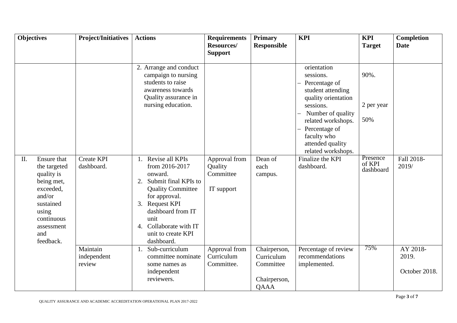| <b>Objectives</b>                                                                                                                                           | <b>Project/Initiatives</b>        | <b>Actions</b>                                                                                                                                                                                                                                                                                                                                                                                 | <b>Requirements</b><br><b>Resources/</b><br><b>Support</b> | <b>Primary</b><br><b>Responsible</b>                                   | <b>KPI</b>                                                                                                                                                                                                                                                | <b>KPI</b><br><b>Target</b>                                  | Completion<br><b>Date</b>          |
|-------------------------------------------------------------------------------------------------------------------------------------------------------------|-----------------------------------|------------------------------------------------------------------------------------------------------------------------------------------------------------------------------------------------------------------------------------------------------------------------------------------------------------------------------------------------------------------------------------------------|------------------------------------------------------------|------------------------------------------------------------------------|-----------------------------------------------------------------------------------------------------------------------------------------------------------------------------------------------------------------------------------------------------------|--------------------------------------------------------------|------------------------------------|
| Ensure that<br>II.<br>the targeted<br>quality is<br>being met,<br>exceeded,<br>and/or<br>sustained<br>using<br>continuous<br>assessment<br>and<br>feedback. | <b>Create KPI</b><br>dashboard.   | 2. Arrange and conduct<br>campaign to nursing<br>students to raise<br>awareness towards<br>Quality assurance in<br>nursing education.<br>Revise all KPIs<br>from 2016-2017<br>onward.<br>Submit final KPIs to<br>$\overline{2}$ .<br><b>Quality Committee</b><br>for approval.<br>3. Request KPI<br>dashboard from IT<br>unit<br>Collaborate with IT<br>4.<br>unit to create KPI<br>dashboard. | Approval from<br>Quality<br>Committee<br>IT support        | Dean of<br>each<br>campus.                                             | orientation<br>sessions.<br>Percentage of<br>student attending<br>quality orientation<br>sessions.<br>Number of quality<br>related workshops.<br>Percentage of<br>faculty who<br>attended quality<br>related workshops.<br>Finalize the KPI<br>dashboard. | 90%.<br>2 per year<br>50%<br>Presence<br>of KPI<br>dashboard | Fall 2018-<br>2019/                |
|                                                                                                                                                             | Maintain<br>independent<br>review | Sub-curriculum<br>committee nominate<br>some names as<br>independent<br>reviewers.                                                                                                                                                                                                                                                                                                             | Approval from<br>Curriculum<br>Committee.                  | Chairperson,<br>Curriculum<br>Committee<br>Chairperson,<br><b>QAAA</b> | Percentage of review<br>recommendations<br>implemented.                                                                                                                                                                                                   | 75%                                                          | AY 2018-<br>2019.<br>October 2018. |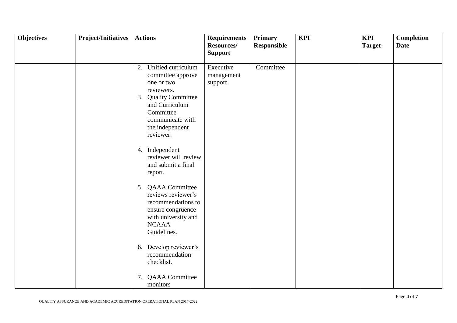| <b>Objectives</b> | <b>Project/Initiatives</b> | <b>Actions</b>                                                                                                                                                                    | <b>Requirements</b><br>Resources/<br><b>Support</b> | <b>Primary</b><br><b>Responsible</b> | <b>KPI</b> | <b>KPI</b><br><b>Target</b> | <b>Completion</b><br><b>Date</b> |
|-------------------|----------------------------|-----------------------------------------------------------------------------------------------------------------------------------------------------------------------------------|-----------------------------------------------------|--------------------------------------|------------|-----------------------------|----------------------------------|
|                   |                            | 2. Unified curriculum<br>committee approve<br>one or two<br>reviewers.<br>3. Quality Committee<br>and Curriculum<br>Committee<br>communicate with<br>the independent<br>reviewer. | Executive<br>management<br>support.                 | Committee                            |            |                             |                                  |
|                   |                            | 4. Independent<br>reviewer will review<br>and submit a final<br>report.                                                                                                           |                                                     |                                      |            |                             |                                  |
|                   |                            | 5. QAAA Committee<br>reviews reviewer's<br>recommendations to<br>ensure congruence<br>with university and<br><b>NCAAA</b><br>Guidelines.                                          |                                                     |                                      |            |                             |                                  |
|                   |                            | Develop reviewer's<br>6.<br>recommendation<br>checklist.                                                                                                                          |                                                     |                                      |            |                             |                                  |
|                   |                            | <b>QAAA</b> Committee<br>7.<br>monitors                                                                                                                                           |                                                     |                                      |            |                             |                                  |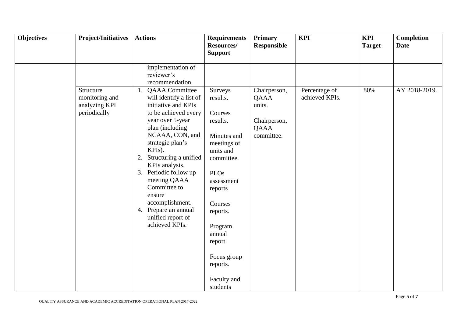| <b>Objectives</b> | <b>Project/Initiatives</b>                                   | <b>Actions</b>                                                                                                                                                                                                                                                                                                                                                                                      | <b>Requirements</b><br>Resources/<br><b>Support</b>                                                                                                                                                                                                      | <b>Primary</b><br><b>Responsible</b>                                 | <b>KPI</b>                      | <b>KPI</b><br><b>Target</b> | <b>Completion</b><br><b>Date</b> |
|-------------------|--------------------------------------------------------------|-----------------------------------------------------------------------------------------------------------------------------------------------------------------------------------------------------------------------------------------------------------------------------------------------------------------------------------------------------------------------------------------------------|----------------------------------------------------------------------------------------------------------------------------------------------------------------------------------------------------------------------------------------------------------|----------------------------------------------------------------------|---------------------------------|-----------------------------|----------------------------------|
|                   |                                                              | implementation of<br>reviewer's<br>recommendation.                                                                                                                                                                                                                                                                                                                                                  |                                                                                                                                                                                                                                                          |                                                                      |                                 |                             |                                  |
|                   | Structure<br>monitoring and<br>analyzing KPI<br>periodically | <b>QAAA</b> Committee<br>1.<br>will identify a list of<br>initiative and KPIs<br>to be achieved every<br>year over 5-year<br>plan (including<br>NCAAA, CON, and<br>strategic plan's<br>KPIs).<br>Structuring a unified<br>2.<br>KPIs analysis.<br>3. Periodic follow up<br>meeting QAAA<br>Committee to<br>ensure<br>accomplishment.<br>4. Prepare an annual<br>unified report of<br>achieved KPIs. | Surveys<br>results.<br>Courses<br>results.<br>Minutes and<br>meetings of<br>units and<br>committee.<br><b>PLOs</b><br>assessment<br>reports<br>Courses<br>reports.<br>Program<br>annual<br>report.<br>Focus group<br>reports.<br>Faculty and<br>students | Chairperson,<br>QAAA<br>units.<br>Chairperson,<br>QAAA<br>committee. | Percentage of<br>achieved KPIs. | 80%                         | AY 2018-2019.                    |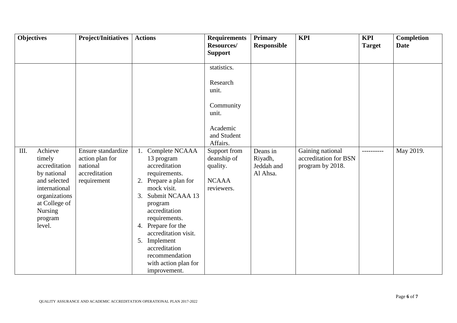| <b>Objectives</b> |                                                                          | <b>Project/Initiatives</b>                                                        | <b>Actions</b>                                                                                                                                                                                              | <b>Requirements</b>                                                                                                                                                                  | <b>Primary</b>                                                      | <b>KPI</b>                                                    | <b>KPI</b>                   | <b>Completion</b>        |
|-------------------|--------------------------------------------------------------------------|-----------------------------------------------------------------------------------|-------------------------------------------------------------------------------------------------------------------------------------------------------------------------------------------------------------|--------------------------------------------------------------------------------------------------------------------------------------------------------------------------------------|---------------------------------------------------------------------|---------------------------------------------------------------|------------------------------|--------------------------|
|                   |                                                                          |                                                                                   |                                                                                                                                                                                                             | <b>Support</b>                                                                                                                                                                       |                                                                     |                                                               |                              |                          |
| III.<br>timely    | Achieve<br>accreditation<br>by national<br>and selected<br>international | Ensure standardize<br>action plan for<br>national<br>accreditation<br>requirement | Complete NCAAA<br>13 program<br>accreditation<br>requirements.<br>2. Prepare a plan for<br>mock visit.                                                                                                      | Resources/<br>statistics.<br>Research<br>unit.<br>Community<br>unit.<br>Academic<br>and Student<br>Affairs.<br>Support from<br>deanship of<br>quality.<br><b>NCAAA</b><br>reviewers. | <b>Responsible</b><br>Deans in<br>Riyadh,<br>Jeddah and<br>Al Ahsa. | Gaining national<br>accreditation for BSN<br>program by 2018. | <b>Target</b><br>----------- | <b>Date</b><br>May 2019. |
| level.            | organizations<br>at College of<br>Nursing<br>program                     |                                                                                   | Submit NCAAA 13<br>3.<br>program<br>accreditation<br>requirements.<br>4. Prepare for the<br>accreditation visit.<br>5. Implement<br>accreditation<br>recommendation<br>with action plan for<br>improvement. |                                                                                                                                                                                      |                                                                     |                                                               |                              |                          |